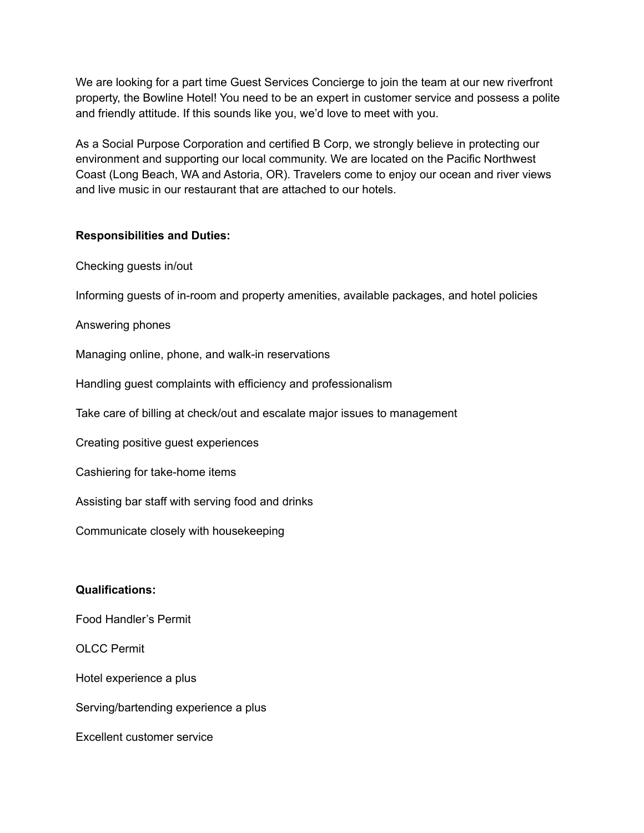We are looking for a part time Guest Services Concierge to join the team at our new riverfront property, the Bowline Hotel! You need to be an expert in customer service and possess a polite and friendly attitude. If this sounds like you, we'd love to meet with you.

As a Social Purpose Corporation and certified B Corp, we strongly believe in protecting our environment and supporting our local community. We are located on the Pacific Northwest Coast (Long Beach, WA and Astoria, OR). Travelers come to enjoy our ocean and river views and live music in our restaurant that are attached to our hotels.

## **Responsibilities and Duties:**

Checking guests in/out

Informing guests of in-room and property amenities, available packages, and hotel policies

Answering phones

Managing online, phone, and walk-in reservations

Handling guest complaints with efficiency and professionalism

Take care of billing at check/out and escalate major issues to management

Creating positive guest experiences

Cashiering for take-home items

Assisting bar staff with serving food and drinks

Communicate closely with housekeeping

## **Qualifications:**

Food Handler's Permit

OLCC Permit

Hotel experience a plus

Serving/bartending experience a plus

Excellent customer service